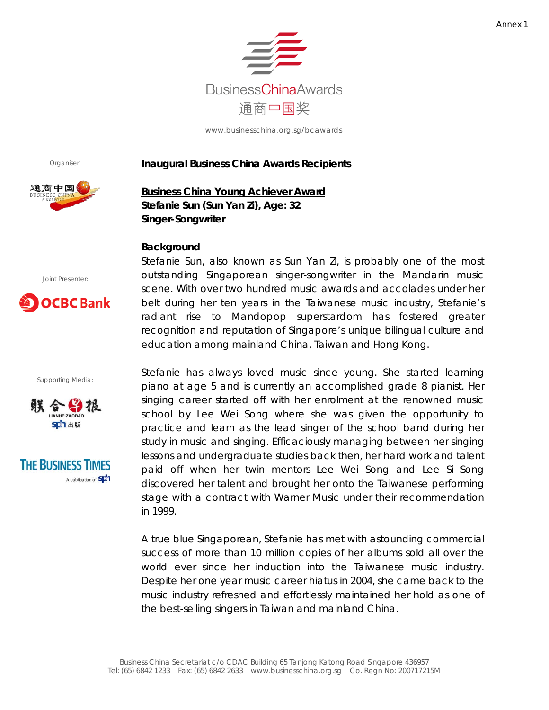

Organiser:



#### **Inaugural Business China Awards Recipients**

**Business China Young Achiever Award Stefanie Sun (Sun Yan Zi), Age: 32 Singer-Songwriter**

### **Background**

Joint Presenter:



Supporting Media:





Stefanie Sun, also known as Sun Yan Zi, is probably one of the most outstanding Singaporean singer-songwriter in the Mandarin music scene. With over two hundred music awards and accolades under her belt during her ten years in the Taiwanese music industry, Stefanie's radiant rise to Mandopop superstardom has fostered greater recognition and reputation of Singapore's unique bilingual culture and education among mainland China, Taiwan and Hong Kong.

Stefanie has always loved music since young. She started learning piano at age 5 and is currently an accomplished grade 8 pianist. Her singing career started off with her enrolment at the renowned music school by Lee Wei Song where she was given the opportunity to practice and learn as the lead singer of the school band during her study in music and singing. Efficaciously managing between her singing lessons and undergraduate studies back then, her hard work and talent paid off when her twin mentors Lee Wei Song and Lee Si Song discovered her talent and brought her onto the Taiwanese performing stage with a contract with Warner Music under their recommendation in 1999.

A true blue Singaporean, Stefanie has met with astounding commercial success of more than *10 million* copies of her albums sold all over the world ever since her induction into the Taiwanese music industry. Despite her one year music career hiatus in 2004, she came back to the music industry refreshed and effortlessly maintained her hold as one of the best-selling singers in Taiwan and mainland China.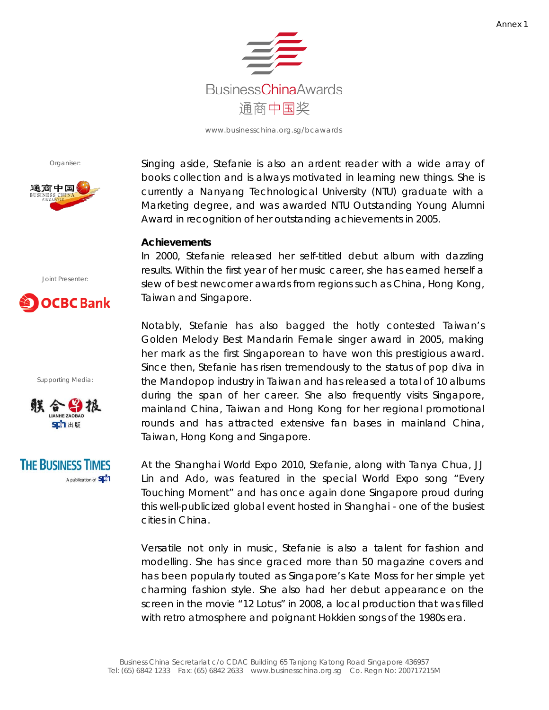

Organiser:



Singing aside, Stefanie is also an ardent reader with a wide array of books collection and is always motivated in learning new things. She is currently a Nanyang Technological University (NTU) graduate with a Marketing degree, and was awarded NTU Outstanding Young Alumni Award in recognition of her outstanding achievements in 2005.

## **Achievements**

In 2000, Stefanie released her self-titled debut album with dazzling results. Within the first year of her music career, she has earned herself a slew of best newcomer awards from regions such as China, Hong Kong, Taiwan and Singapore.

Notably, Stefanie has also bagged the hotly contested Taiwan's Golden Melody Best Mandarin Female singer award in 2005, making her mark as the first Singaporean to have won this prestigious award. Since then, Stefanie has risen tremendously to the status of pop diva in the Mandopop industry in Taiwan and has released a total of 10 albums during the span of her career. She also frequently visits Singapore, mainland China, Taiwan and Hong Kong for her regional promotional rounds and has attracted extensive fan bases in mainland China, Taiwan, Hong Kong and Singapore.

At the Shanghai World Expo 2010, Stefanie, along with Tanya Chua, JJ Lin and Ado, was featured in the special World Expo song "Every Touching Moment" and has once again done Singapore proud during this well-publicized global event hosted in Shanghai - one of the busiest cities in China.

Versatile not only in music, Stefanie is also a talent for fashion and modelling. She has since graced more than 50 magazine covers and has been popularly touted as Singapore's Kate Moss for her simple yet charming fashion style. She also had her debut appearance on the screen in the movie "12 Lotus" in 2008, a local production that was filled with retro atmosphere and poignant Hokkien songs of the 1980s era.

Joint Presenter:

# **OCBC** Bank

Supporting Media:



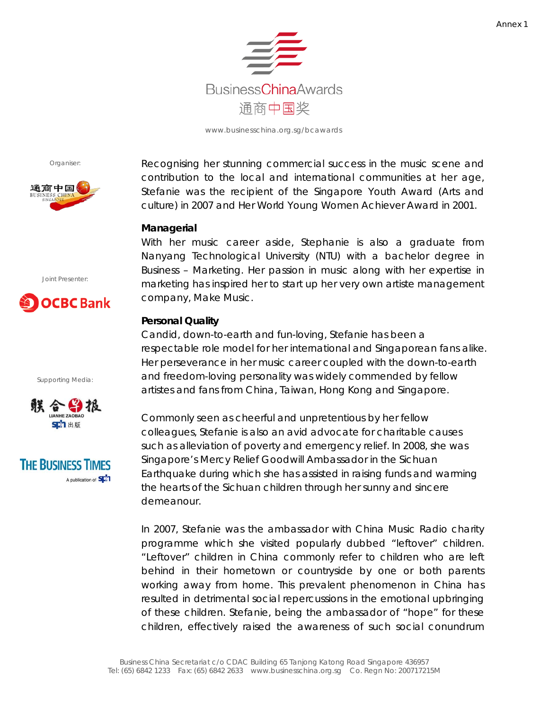

Organiser:



Recognising her stunning commercial success in the music scene and contribution to the local and international communities at her age, Stefanie was the recipient of the Singapore Youth Award (Arts and culture) in 2007 and Her World Young Women Achiever Award in 2001.

### **Managerial**

With her music career aside, Stephanie is also a graduate from Nanyang Technological University (NTU) with a bachelor degree in Business – Marketing. Her passion in music along with her expertise in marketing has inspired her to start up her very own artiste management company, Make Music.

## **Personal Quality**

Candid, down-to-earth and fun-loving, Stefanie has been a respectable role model for her international and Singaporean fans alike. Her perseverance in her music career coupled with the down-to-earth and freedom-loving personality was widely commended by fellow artistes and fans from China, Taiwan, Hong Kong and Singapore.

Commonly seen as cheerful and unpretentious by her fellow colleagues, Stefanie is also an avid advocate for charitable causes such as alleviation of poverty and emergency relief. In 2008, she was Singapore's Mercy Relief Goodwill Ambassador in the Sichuan Earthquake during which she has assisted in raising funds and warming the hearts of the Sichuan children through her sunny and sincere demeanour.

In 2007, Stefanie was the ambassador with China Music Radio charity programme which she visited popularly dubbed "leftover" children. "Leftover" children in China commonly refer to children who are left behind in their hometown or countryside by one or both parents working away from home. This prevalent phenomenon in China has resulted in detrimental social repercussions in the emotional upbringing of these children. Stefanie, being the ambassador of "hope" for these children, effectively raised the awareness of such social conundrum





Supporting Media: